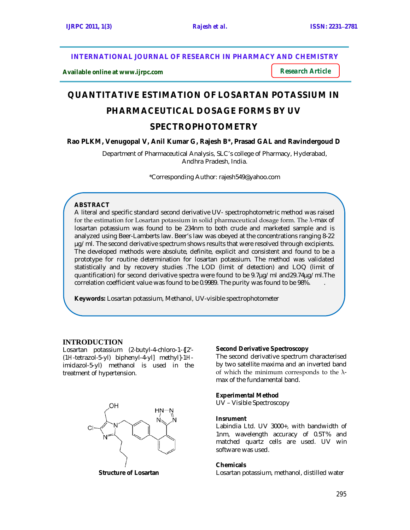**INTERNATIONAL JOURNAL OF RESEARCH IN PHARMACY AND CHEMISTRY**

**Available online at www.ijrpc.com**

*Research Article*

# **QUANTITATIVE ESTIMATION OF LOSARTAN POTASSIUM IN PHARMACEUTICAL DOSAGE FORMS BY UV**

# **SPECTROPHOTOMETRY**

# **Rao PLKM, Venugopal V, Anil Kumar G, Rajesh B\*, Prasad GAL and Ravindergoud D**

Department of Pharmaceutical Analysis, SLC's college of Pharmacy, Hyderabad, Andhra Pradesh, India.

\*Corresponding Author: rajesh549@yahoo.com

# **ABSTRACT**

A literal and specific standard second derivative UV- spectrophotometric method was raised for the estimation for Losartan potassium in solid pharmaceutical dosage form. The λ-max of losartan potassium was found to be 234nm to both crude and marketed sample and is analyzed using Beer-Lamberts law. Beer's law was obeyed at the concentrations ranging 8-22 µg/ml. The second derivative spectrum shows results that were resolved through excipients. The developed methods were absolute, definite, explicit and consistent and found to be a prototype for routine determination for losartan potassium. The method was validated statistically and by recovery studies .The LOD (limit of detection) and LOQ (limit of quantification) for second derivative spectra were found to be 9.7µg/ml and29.74µg/ml.The correlation coefficient value was found to be 0.9989. The purity was found to be 98%. .

**Keywords:** Losartan potassium, Methanol, UV-visible spectrophotometer

# **INTRODUCTION**

Losartan potassium (2-butyl-4-chloro-1-{[2'- (1*H*-tetrazol-5-yl) biphenyl-4-yl] methyl}-1*H*imidazol-5-yl) methanol is used in the treatment of hypertension.



# **Second Derivative Spectroscopy**

The second derivative spectrum characterised by two satellite maxima and an inverted band of which the minimum corresponds to the  $\lambda$ max of the fundamental band.

#### **Experimental Method**

UV – Visible Spectroscopy

#### **Insrument**

Labindia Ltd. UV 3000+, with bandwidth of 1nm, wavelength accuracy of 0.5T% and matched quartz cells are used. UV win software was used.

#### **Chemicals**

Losartan potassium, methanol, distilled water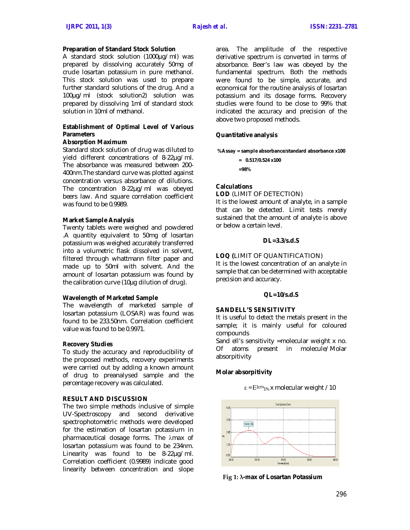#### **Preparation of Standard Stock Solution**

A standard stock solution (1000µg/ml) was prepared by dissolving accurately 50mg of crude losartan potassium in pure methanol. This stock solution was used to prepare further standard solutions of the drug. And a 100µg/ml (stock solution2) solution was prepared by dissolving 1ml of standard stock solution in 10ml of methanol.

#### **Establishment of Optimal Level of Various Parameters**

#### **Absorption Maximum**

Standard stock solution of drug was diluted to yield different concentrations of 8-22µg/ml. The absorbance was measured between 200- 400nm.The standard curve was plotted against concentration versus absorbance of dilutions. The concentration 8-22µg/ml was obeyed beers law. And square correlation coefficient was found to be 0.9989.

#### **Market Sample Analysis**

Twenty tablets were weighed and powdered .A quantity equivalent to 50mg of losartan potassium was weighed accurately transferred into a volumetric flask dissolved in solvent, filtered through whattmann filter paper and made up to 50ml with solvent. And the amount of losartan potassium was found by the calibration curve (10µg dilution of drug).

### **Wavelength of Marketed Sample**

The wavelength of marketed sample of losartan potassium (LOSAR) was found was found to be 233.50nm. Correlation coefficient value was found to be 0.9971.

#### **Recovery Studies**

To study the accuracy and reproducibility of the proposed methods, recovery experiments were carried out by adding a known amount of drug to preanalysed sample and the percentage recovery was calculated.

### **RESULT AND DISCUSSION**

The two simple methods inclusive of simple UV-Spectroscopy and second derivative spectrophotometric methods were developed for the estimation of losartan potassium in pharmaceutical dosage forms. The  $\lambda$ max of losartan potassium was found to be 234nm. Linearity was found to be 8-22µg/ml. Correlation coefficient (0.9989) indicate good linearity between concentration and slope

area. The amplitude of the respective derivative spectrum is converted in terms of absorbance. Beer's law was obeyed by the fundamental spectrum. Both the methods were found to be simple, accurate, and economical for the routine analysis of losartan potassium and its dosage forms. Recovery studies were found to be close to 99% that indicated the accuracy and precision of the above two proposed methods.

#### **Quantitative analysis**

**%Assay = sample absorbance/standard absorbance x100**

**= 0.517/0.524 x100 =98%**

#### **Calculations**

**LOD** (LIMIT OF DETECTION)

It is the lowest amount of analyte, in a sample that can be detected. Limit tests merely sustained that the amount of analyte is above or below a certain level.

#### **DL=3.3/s.d.S**

#### **LOQ (**LIMIT OF QUANTIFICATION)

It is the lowest concentration of an analyte in sample that can be determined with acceptable precision and accuracy.

#### **QL=10/s.d.S**

#### **SANDELL'S SENSITIVITY**

It is useful to detect the metals present in the sample; it is mainly useful for coloured compounds

Sand ell's sensitivity =molecular weight x no. Of atoms present in molecule/Molar absorpitivity

ε = Ε<sup>1 cm</sup><sub>1%</sub> x molecular weight / 10

#### **Molar absorpitivity**



**Fig 1: λ-max of Losartan Potassium**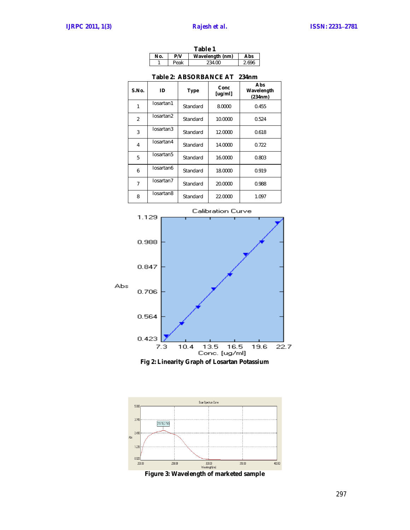| Table 1 |      |                 |       |  |
|---------|------|-----------------|-------|--|
| Nο.     | P/V  | Wavelength (nm) | Abs   |  |
|         | Peak | 234.00          | 2.696 |  |

| S.No.          | ID        | <b>Type</b> | Conc<br>[uq/ml] | Abs<br>Wavelength<br>(234nm) |
|----------------|-----------|-------------|-----------------|------------------------------|
| 1              | losartan1 | Standard    | 8.0000          | 0.455                        |
| $\overline{2}$ | losartan2 | Standard    | 10.0000         | 0.524                        |
| 3              | losartan3 | Standard    | 12.0000         | 0.618                        |
| 4              | losartan4 | Standard    | 14.0000         | 0.722                        |
| 5              | losartan5 | Standard    | 16.0000         | 0.803                        |
| 6              | losartan6 | Standard    | 18.0000         | 0.919                        |
| 7              | losartan7 | Standard    | 20.0000         | 0.988                        |
| 8              | losartan8 | Standard    | 22.0000         | 1.097                        |

#### **Table 2: ABSORBANCE AT 234nm**





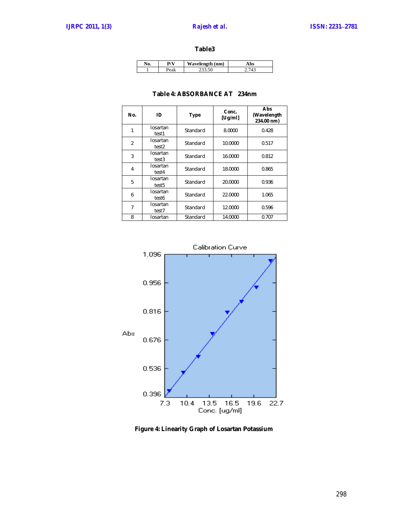#### **Table3**

|  | W.<br>Vavelength (nm) |  |
|--|-----------------------|--|
|  |                       |  |

# **Table 4: ABSORBANCE AT 234nm**

| No.            | ID                            | <b>Type</b> | Conc.<br>[Uq/ml] | Abs<br>(Wavelength<br>234.00 nm) |
|----------------|-------------------------------|-------------|------------------|----------------------------------|
| 1              | losartan<br>test1             | Standard    | 8.0000           | 0.428                            |
| $\overline{2}$ | losartan<br>test2             | Standard    | 10.0000          | 0.517                            |
| 3              | losartan<br>test3             | Standard    | 16.0000          | 0.812                            |
| 4              | losartan<br>test4             | Standard    | 18.0000          | 0.865                            |
| 5              | losartan<br>test <sub>5</sub> | Standard    | 20.0000          | 0.936                            |
| 6              | losartan<br>test6             | Standard    | 22.0000          | 1.065                            |
| 7              | losartan<br>test7             | Standard    | 12.0000          | 0.596                            |
| 8              | Iosartan                      | Standard    | 14.0000          | 0.707                            |



**Figure 4: Linearity Graph of Losartan Potassium**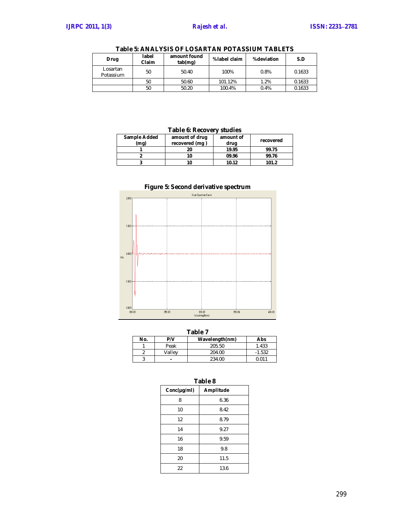| Drug                  | label<br>Claim | amount found<br>tab(mg) | %label claim | %deviation | S.D    |
|-----------------------|----------------|-------------------------|--------------|------------|--------|
| Losartan<br>Potassium | 50             | 50.40                   | 100%         | 0.8%       | 0.1633 |
|                       | 50             | 50.60                   | 101.12%      | 1.2%       | 0.1633 |
|                       | 50             | 50.20                   | 100.4%       | 0.4%       | 0.1633 |

**Table 5: ANALYSIS OF LOSARTAN POTASSIUM TABLETS**

# **Table 6: Recovery studies**

| Sample Added<br>(mg) | amount of drug<br>recovered (mg) | amount of<br>drug | recovered |
|----------------------|----------------------------------|-------------------|-----------|
|                      | 20                               | 19.95             | 99.75     |
|                      | 10                               | 09.96             | 99.76     |
|                      | 10                               | 10.12             | 101.2     |



|  |  | Figure 5: Second derivative spectrum |  |
|--|--|--------------------------------------|--|
|--|--|--------------------------------------|--|

|     | Table 7 |                |          |  |  |
|-----|---------|----------------|----------|--|--|
| No. | P/V     | Wavelength(nm) | Abs      |  |  |
|     | Peak    | 205.50         | 1.433    |  |  |
|     | Vallev  | 204.00         | $-1.532$ |  |  |
|     | -       | 234.00         | 0.011    |  |  |

| Table 8          |           |  |  |  |
|------------------|-----------|--|--|--|
| $Conc(\mu g/ml)$ | Amplitude |  |  |  |
| 8                | 6.36      |  |  |  |
| 10               | 8.42      |  |  |  |
| 12               | 8.79      |  |  |  |
| 14               | 9.27      |  |  |  |
| 16               | 9.59      |  |  |  |
| 18               | 9.8       |  |  |  |
| 20               | 11.5      |  |  |  |
| 22               | 13.6      |  |  |  |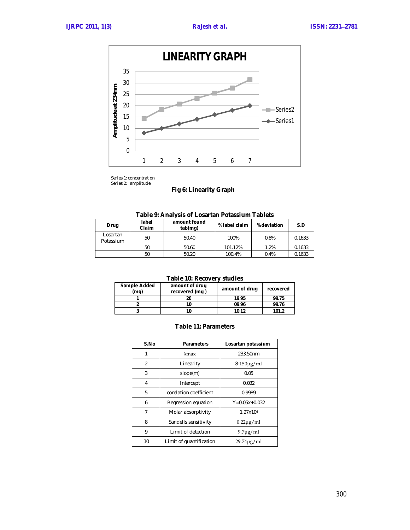

Series 1: concentration Series 2: amplitude

# **Fig 6: Linearity Graph**

|  | Table 9: Analysis of Losartan Potassium Tablets |  |
|--|-------------------------------------------------|--|
|--|-------------------------------------------------|--|

| Drug                  | label<br>Claim | amount found<br>tab(mg) | %label claim | %deviation | S.D    |
|-----------------------|----------------|-------------------------|--------------|------------|--------|
| Losartan<br>Potassium | 50             | 50.40                   | 100%         | 0.8%       | 0.1633 |
|                       | 50             | 50.60                   | 101.12%      | 1.2%       | 0.1633 |
|                       | 50             | 50.20                   | 100.4%       | 0.4%       | 0.1633 |

# **Table 10: Recovery studies**

| <b>Sample Added</b><br>(mq) | amount of drug<br>recovered (mg) | amount of drug | recovered |
|-----------------------------|----------------------------------|----------------|-----------|
|                             | 20                               | 19.95          | 99.75     |
|                             | 10                               | 09.96          | 99.76     |
|                             | 10                               | 10.12          | 101.2     |

#### **Table 11: Parameters**

| S.No | <b>Parameters</b>       | Losartan potassium |
|------|-------------------------|--------------------|
| 1    | $\lambda$ max           | 233.50nm           |
| 2    | Linearity               | $8-150\mu g/ml$    |
| 3    | slope(m)                | 0.05               |
| 4    | Intercept               | 0.032              |
| 5    | corelation coefficient  | 0.9989             |
| 6    | Regression equation     | $Y=0.05x+0.032$    |
| 7    | Molar absorptivity      | 1.27x104           |
| 8    | Sandells sensitivity    | $0.22\mu$ g/ml     |
| 9    | Limit of detection      | $9.7\mu$ g/ml      |
| 10   | Limit of quantification | $29.74\mu g/ml$    |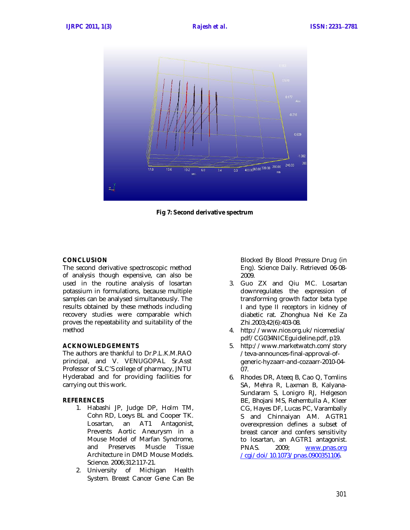

**Fig 7: Second derivative spectrum**

# **CONCLUSION**

The second derivative spectroscopic method of analysis though expensive, can also be used in the routine analysis of losartan potassium in formulations, because multiple samples can be analysed simultaneously. The results obtained by these methods including recovery studies were comparable which proves the repeatability and suitability of the method

#### **ACKNOWLEDGEMENTS**

The authors are thankful to Dr.P.L.K.M.RAO principal, and V. VENUGOPAL Sr.Asst Professor of SLC'S college of pharmacy, JNTU Hyderabad and for providing facilities for carrying out this work.

#### **REFERENCES**

- 1. Habashi JP, Judge DP, Holm TM, Cohn RD, Loeys BL and Cooper TK. Losartan, an AT1 Antagonist, Prevents Aortic Aneurysm in a Mouse Model of Marfan Syndrome, and Preserves Muscle Tissue Architecture in DMD Mouse Models. Science. 2006;312:117-21.
- 2. University of Michigan Health System. Breast Cancer Gene Can Be

Blocked By Blood Pressure Drug (in Eng). Science Daily. Retrieved 06-08- 2009.

- 3. Guo ZX and Qiu MC. Losartan downregulates the expression of transforming growth factor beta type I and type II receptors in kidney of diabetic rat. Zhonghua Nei Ke Za Zhi.2003;42(6):403-08.
- 4. http://www.nice.org.uk/nicemedia/ pdf/CG034NICEguideline.pdf, p19.
- 5. http://www.marketwatch.com/story /teva-announces-final-approval-ofgeneric-hyzaarr-and-cozaarr-2010-04- 07.
- 6. Rhodes DR, Ateeq B, Cao Q, Tomlins SA, Mehra R, Laxman B, Kalyana-Sundaram S, Lonigro RJ, Helgeson BE, Bhojani MS, Rehemtulla A, Kleer CG, Hayes DF, Lucas PC, Varambally S and Chinnaiyan AM. AGTR1 overexpression defines a subset of breast cancer and confers sensitivity to losartan, an AGTR1 antagonist. PNAS. 2009; www.pnas.org /cgi/doi/10.1073/pnas.0900351106.